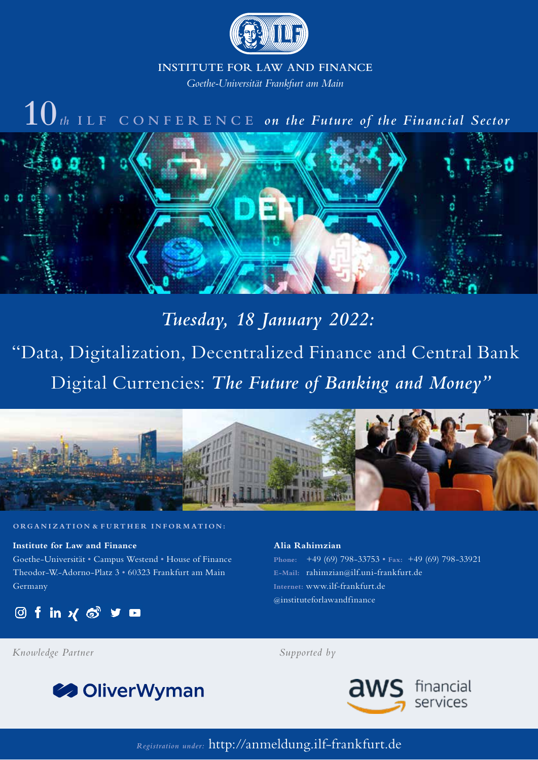

# **INSTITUTE FOR LAW AND FINANCE**

*Goethe-Universität Frankfurt am Main*

# **10***th* **ILF CONFERENCE** *on the Future of the Financial Sector*



*Tuesday, 18 January 2022:* "Data, Digitalization, Decentralized Finance and Central Bank Digital Currencies: *The Future of Banking and Money"*



### **ORGANIZATION** & **FURTHER INFORMATION:**

**Institute for Law and Finance** Goethe-Universität • Campus Westend • House of Finance Theodor-W.-Adorno-Platz 3 • 60323 Frankfurt am Main Germany

**Of in χδγα** 

#### **Alia Rahimzian**

**Phone:** +49 (69) 798-33753 • **Fax:** +49 (69) 798-33921 **E-Mail:** rahimzian@ilf.uni-frankfurt.de **Internet:** www.ilf-frankfurt.de @instituteforlawandfinance

*Knowledge Partner Supported by*





*Registration under:* http://anmeldung.ilf-frankfurt.de